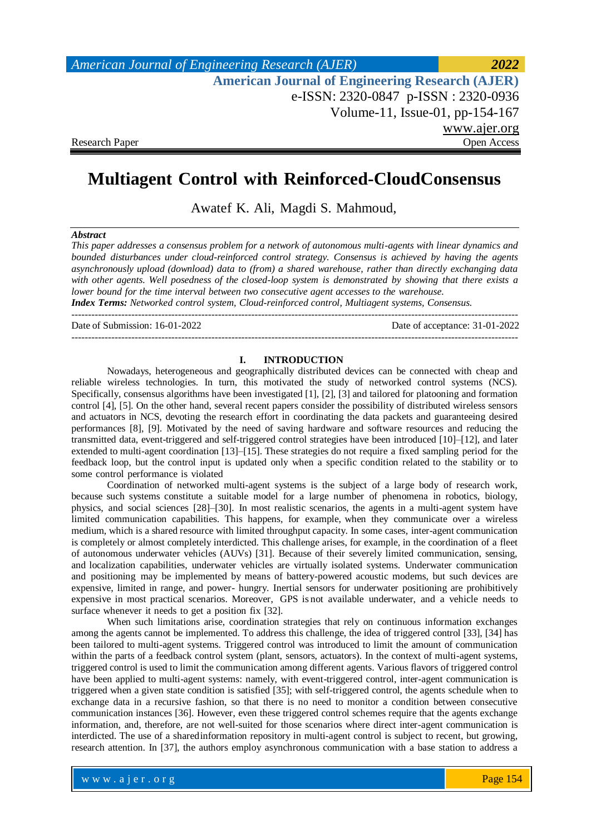*American Journal of Engineering Research (AJER) 2022*  **American Journal of Engineering Research (AJER)** e-ISSN: 2320-0847 p-ISSN : 2320-0936 Volume-11, Issue-01, pp-154-167 www.ajer.org Research Paper Open Access

# **Multiagent Control with Reinforced-CloudConsensus**

Awatef K. Ali, Magdi S. Mahmoud,

#### *Abstract*

*This paper addresses a consensus problem for a network of autonomous multi-agents with linear dynamics and bounded disturbances under cloud-reinforced control strategy. Consensus is achieved by having the agents asynchronously upload (download) data to (from) a shared warehouse, rather than directly exchanging data with other agents. Well posedness of the closed-loop system is demonstrated by showing that there exists a lower bound for the time interval between two consecutive agent accesses to the warehouse. Index Terms: Networked control system, Cloud-reinforced control, Multiagent systems, Consensus.*

Date of Submission: 16-01-2022 Date of acceptance: 31-01-2022

--------------------------------------------------------------------------------------------------------------------------------------

--------------------------------------------------------------------------------------------------------------------------------------

#### **I. INTRODUCTION**

Nowadays, heterogeneous and geographically distributed devices can be connected with cheap and reliable wireless technologies. In turn, this motivated the study of networked control systems (NCS). Specifically, consensus algorithms have been investigated [1], [2], [3] and tailored for platooning and formation control [4], [5]. On the other hand, several recent papers consider the possibility of distributed wireless sensors and actuators in NCS, devoting the research effort in coordinating the data packets and guaranteeing desired performances [8], [9]. Motivated by the need of saving hardware and software resources and reducing the transmitted data, event-triggered and self-triggered control strategies have been introduced [10]–[12], and later extended to multi-agent coordination [13]–[15]. These strategies do not require a fixed sampling period for the feedback loop, but the control input is updated only when a specific condition related to the stability or to some control performance is violated

Coordination of networked multi-agent systems is the subject of a large body of research work, because such systems constitute a suitable model for a large number of phenomena in robotics, biology, physics, and social sciences [28]–[30]. In most realistic scenarios, the agents in a multi-agent system have limited communication capabilities. This happens, for example, when they communicate over a wireless medium, which is a shared resource with limited throughput capacity. In some cases, inter-agent communication is completely or almost completely interdicted. This challenge arises, for example, in the coordination of a fleet of autonomous underwater vehicles (AUVs) [31]. Because of their severely limited communication, sensing, and localization capabilities, underwater vehicles are virtually isolated systems. Underwater communication and positioning may be implemented by means of battery-powered acoustic modems, but such devices are expensive, limited in range, and power- hungry. Inertial sensors for underwater positioning are prohibitively expensive in most practical scenarios. Moreover, GPS is not available underwater, and a vehicle needs to surface whenever it needs to get a position fix [32].

When such limitations arise, coordination strategies that rely on continuous information exchanges among the agents cannot be implemented. To address this challenge, the idea of triggered control [33], [34] has been tailored to multi-agent systems. Triggered control was introduced to limit the amount of communication within the parts of a feedback control system (plant, sensors, actuators). In the context of multi-agent systems, triggered control is used to limit the communication among different agents. Various flavors of triggered control have been applied to multi-agent systems: namely, with event-triggered control, inter-agent communication is triggered when a given state condition is satisfied [35]; with self-triggered control, the agents schedule when to exchange data in a recursive fashion, so that there is no need to monitor a condition between consecutive communication instances [36]. However, even these triggered control schemes require that the agents exchange information, and, therefore, are not well-suited for those scenarios where direct inter-agent communication is interdicted. The use of a sharedinformation repository in multi-agent control is subject to recent, but growing, research attention. In [37], the authors employ asynchronous communication with a base station to address a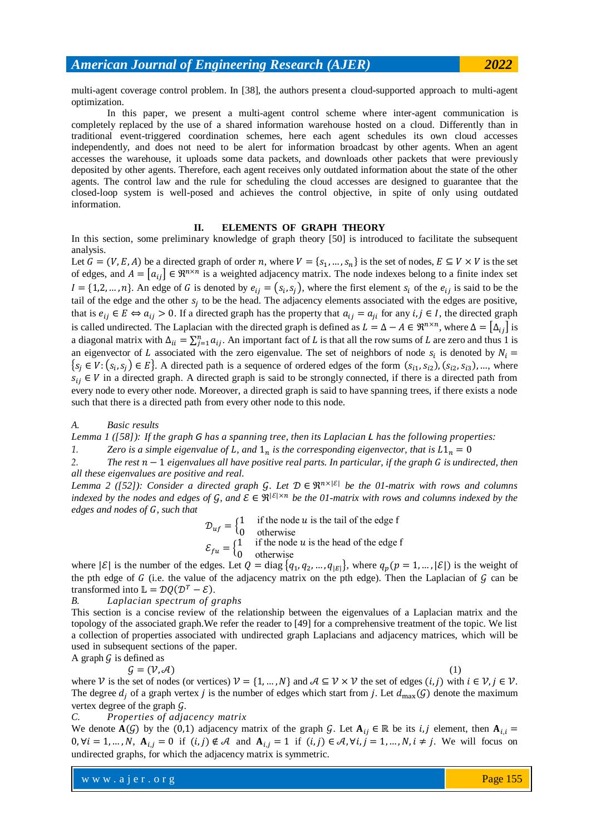multi-agent coverage control problem. In [38], the authors present a cloud-supported approach to multi-agent optimization.

In this paper, we present a multi-agent control scheme where inter-agent communication is completely replaced by the use of a shared information warehouse hosted on a cloud. Differently than in traditional event-triggered coordination schemes, here each agent schedules its own cloud accesses independently, and does not need to be alert for information broadcast by other agents. When an agent accesses the warehouse, it uploads some data packets, and downloads other packets that were previously deposited by other agents. Therefore, each agent receives only outdated information about the state of the other agents. The control law and the rule for scheduling the cloud accesses are designed to guarantee that the closed-loop system is well-posed and achieves the control objective, in spite of only using outdated information.

#### **II. ELEMENTS OF GRAPH THEORY**

In this section, some preliminary knowledge of graph theory [50] is introduced to facilitate the subsequent analysis.

Let  $G = (V, E, A)$  be a directed graph of order n, where  $V = \{s_1, ..., s_n\}$  is the set of nodes,  $E \subseteq V \times V$  is the set of edges, and  $A = |a_{ij}| \in \Re^{n \times n}$  is a weighted adjacency matrix. The node indexes belong to a finite index set  $I = \{1,2,...,n\}$ . An edge of G is denoted by  $e_{ij} = (s_i, s_j)$ , where the first element  $s_i$  of the  $e_{ij}$  is said to be the tail of the edge and the other  $s_i$  to be the head. The adjacency elements associated with the edges are positive, that is  $e_{ij} \in E \Leftrightarrow a_{ij} > 0$ . If a directed graph has the property that  $a_{ij} = a_{ji}$  for any  $i, j \in I$ , the directed graph is called undirected. The Laplacian with the directed graph is defined as  $L = \Delta - A \in \mathbb{R}^{n \times n}$ , where  $\Delta = |\Delta_{ij}|$  is a diagonal matrix with  $\Delta_{ii} = \sum_{i=1}^{n} a_{ii}$ . An important fact of L is that all the row sums of L are zero and thus 1 is an eigenvector of L associated with the zero eigenvalue. The set of neighbors of node  $s_i$  is denoted by  $\{s_i \in V: (s_i, s_j) \in E\}$ . A directed path is a sequence of ordered edges of the form  $(s_{i1}, s_{i2}), (s_{i2}, s_{i3}), ...,$  where  $s_{ij} \in V$  in a directed graph. A directed graph is said to be strongly connected, if there is a directed path from every node to every other node. Moreover, a directed graph is said to have spanning trees, if there exists a node such that there is a directed path from every other node to this node.

*A. Basic results*

Lemma  $1$  ([58]): If the graph G has a spanning tree, then its Laplacian L has the following properties:

*1. Zero is a simple eigenvalue of L, and*  $1<sub>n</sub>$  *is the corresponding eigenvector, that is*  $L1<sub>n</sub> = 0$ 

2. The rest  $n-1$  eigenvalues all have positive real parts. In particular, if the graph G is undirected, then *all these eigenvalues are positive and real.*

*Lemma* 2 ([52]): Consider a directed graph G. Let  $D \in \mathbb{R}^{n \times |\mathcal{E}|}$  be the 01-matrix with rows and columns *indexed by the nodes and edges of G, and*  $\mathcal{E} \in \mathbb{R}^{|\mathcal{E}| \times n}$  *be the 01-matrix with rows and columns indexed by the edges and nodes of G, such that* 

> $\mathcal{D}_{uf} = \begin{cases} 1 \\ 0 \end{cases}$  $\boldsymbol{0}$

 $\varepsilon_{fu} = \begin{cases} 1 \\ 0 \end{cases}$ 

$$
\bigcup_{i=1}^{n} 0
$$
 otherwise

where  $|\mathcal{E}|$  is the number of the edges. Let  $Q = \text{diag}\{q_1, q_2, ..., q_{|E|}\}\$ , where  $q_p(p = 1, ..., |\mathcal{E}|)$  is the weight of the pth edge of  $G$  (i.e. the value of the adjacency matrix on the pth edge). Then the Laplacian of  $G$  can be transformed into  $\mathbb{L} = \mathcal{D}Q(\mathcal{D}^T - \mathcal{E}).$ 

*B. Laplacian spectrum of graphs*

This section is a concise review of the relationship between the eigenvalues of a Laplacian matrix and the topology of the associated graph.We refer the reader to [49] for a comprehensive treatment of the topic. We list a collection of properties associated with undirected graph Laplacians and adjacency matrices, which will be used in subsequent sections of the paper.

A graph  $\mathcal G$  is defined as

 $\mathcal{G} = (\mathcal{V}, \mathcal{A})$ 

where V is the set of nodes (or vertices)  $V = \{1, ..., N\}$  and  $A \subseteq V \times V$  the set of edges  $(i, j)$  with  $i \in V, j \in V$ . The degree  $d_i$  of a graph vertex j is the number of edges which start from j. Let  $d_{\text{max}}(G)$  denote the maximum vertex degree of the graph  $\mathcal{G}$ .

*C. Properties of adjacency matrix*

We denote  $A(G)$  by the (0,1) adjacency matrix of the graph G. Let  $A_{ij} \in \mathbb{R}$  be its i, j element, then  $A_{i,i} =$  $0, \forall i = 1, ..., N$ ,  $A_{i,j} = 0$  if  $(i,j) \notin \mathcal{A}$  and  $A_{i,j} = 1$  if  $(i,j) \in \mathcal{A}, \forall i, j = 1, ..., N$ ,  $i \neq j$ . We will focus on undirected graphs, for which the adjacency matrix is symmetric.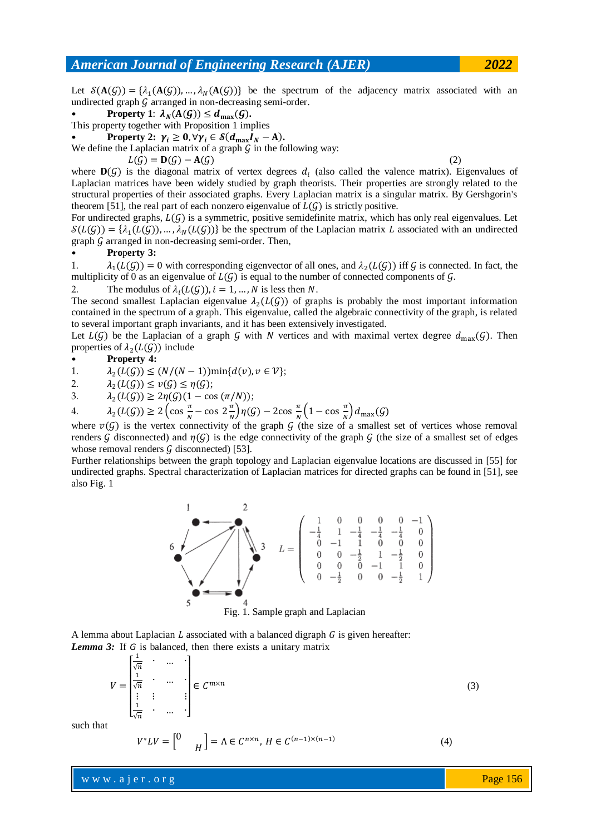Let  $\mathcal{S}(\mathbf{A}(G)) = \{\lambda_1(\mathbf{A}(G)), ..., \lambda_N(\mathbf{A}(G))\}$  be the spectrum of the adjacency matrix associated with an undirected graph  $G$  arranged in non-decreasing semi-order.

• Property 1: 
$$
\lambda_N(A(G)) \leq d_{\max}(G)
$$
.

This property together with Proposition 1 implies

**Property 2:**  $\gamma_i \geq 0$ ,  $\forall \gamma_i \in \mathcal{S}(d_{\text{max}}I_N - A)$ .

We define the Laplacian matrix of a graph  $\tilde{G}$  in the following way:

$$
L(\mathcal{G}) = \mathbf{D}(\mathcal{G}) - \mathbf{A}(\mathcal{G}) \tag{2}
$$

where  $\mathbf{D}(G)$  is the diagonal matrix of vertex degrees  $d_i$  (also called the valence matrix). Eigenvalues of Laplacian matrices have been widely studied by graph theorists. Their properties are strongly related to the structural properties of their associated graphs. Every Laplacian matrix is a singular matrix. By Gershgorin's theorem [51], the real part of each nonzero eigenvalue of  $L(G)$  is strictly positive.

For undirected graphs,  $L(G)$  is a symmetric, positive semidefinite matrix, which has only real eigenvalues. Let  $\mathcal{S}(L(\mathcal{G})) = \{\lambda_1(L(\mathcal{G})), ..., \lambda_N(L(\mathcal{G}))\}$  be the spectrum of the Laplacian matrix L associated with an undirected graph  $\mathcal G$  arranged in non-decreasing semi-order. Then,

#### • **Pro**p**erty 3:**

1.  $(L(G)) = 0$  with corresponding eigenvector of all ones, and  $\lambda_2(L(G))$  iff G is connected. In fact, the multiplicity of 0 as an eigenvalue of  $L(G)$  is equal to the number of connected components of G.

2. The modulus of  $\lambda_i(L(G))$ ,  $i = 1, ..., N$  is less then N.

The second smallest Laplacian eigenvalue  $\lambda_2(L(G))$  of graphs is probably the most important information contained in the spectrum of a graph. This eigenvalue, called the algebraic connectivity of the graph, is related to several important graph invariants, and it has been extensively investigated.

Let  $L(G)$  be the Laplacian of a graph G with N vertices and with maximal vertex degree  $d_{\text{max}}(G)$ . Then properties of  $\lambda_2(L(\mathcal{G}))$  include

• **Property 4:**

1.  $\lambda_2(L(\mathcal{G})) \leq (N/(N-1)) \min\{d(v), v \in \mathcal{V}\};$ 

2.  $\lambda_2(L(\mathcal{G})) \leq v(\mathcal{G}) \leq \eta(\mathcal{G});$ 

3.  $\lambda_2(L(G)) \geq 2\eta(G)(1 - \cos(\pi/N));$ 

4.  $\lambda_2(L(\mathcal{G})) \geq 2 \left(\cos \frac{\pi}{M}\right)$  $\frac{\pi}{N}$  – cos 2 $\frac{\pi}{N}$  $\frac{\pi}{N}\bigg)\eta(\mathcal{G})-2\cos\frac{\pi}{N}$  $\frac{\pi}{N}\left(1-\cos\frac{\pi}{N}\right)$  $\frac{n}{N}$ 

where  $v(G)$  is the vertex connectivity of the graph G (the size of a smallest set of vertices whose removal renders G disconnected) and  $\eta(G)$  is the edge connectivity of the graph G (the size of a smallest set of edges whose removal renders  $G$  disconnected) [53].

Further relationships between the graph topology and Laplacian eigenvalue locations are discussed in [55] for undirected graphs. Spectral characterization of Laplacian matrices for directed graphs can be found in [51], see also Fig. 1



A lemma about Laplacian  $L$  associated with a balanced digraph  $G$  is given hereafter: *Lemma 3:* If *G* is balanced, then there exists a unitary matrix

V  $\mathsf{L}$ I ł ŀ I  $\int_{\sqrt{t}}^{1}$  $\frac{1}{\sqrt{n}}$  .  $\mathbf{1}$  $\frac{1}{\sqrt{n}}$  .  $\frac{1}{\sqrt{2}}$  :  $\frac{1}{\sqrt{2}}$  :  $\frac{1}{\sqrt{2}}$  :  $\frac{1}{\sqrt{2}}$  $\sqrt{}$  $\overline{1}$  $\overline{\phantom{a}}$ I I I  $\in \mathcal{C}^m$ (3)

such that

$$
V^*LV = \begin{bmatrix} 0 & \\ & H \end{bmatrix} = \Lambda \in \mathcal{C}^{n \times n}, \, H \in \mathcal{C}^{(n-1)\times(n-1)} \tag{4}
$$

www.ajer.org where  $\mathcal{L} = \mathcal{L} \left( \mathcal{L} \right)$  is the set of  $\mathcal{L} \left( \mathcal{L} \right)$ 

Page 156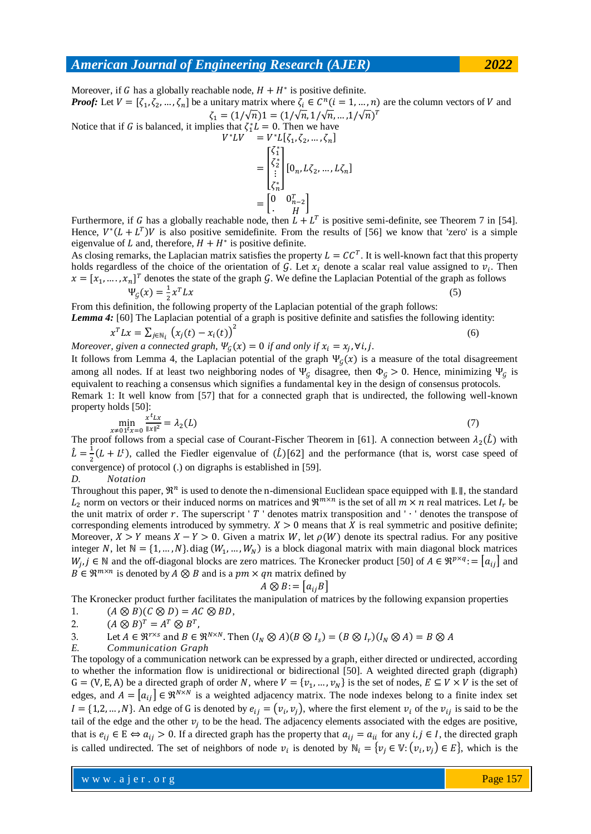Moreover, if G has a globally reachable node,  $H + H^*$  is positive definite. *Proof:* Let  $V = [\zeta_1, \zeta_2, ..., \zeta_n]$  be a unitary matrix where  $\zeta_i \in C^n$   $(i = 1, ..., n)$  are the column vectors of V and  $\zeta_1 = (1/\sqrt{n})1 = (1/\sqrt{n}, 1/\sqrt{n}, ... , 1/\sqrt{n})^T$ Notice that if G is balanced, it implies that  $\zeta_1^* L = 0$ . Then we have  $V^*LV = V^*L[\zeta_1, \zeta_2, ..., \zeta_n]$ 

$$
= \begin{bmatrix} \zeta_1^* \\ \zeta_2^* \\ \vdots \\ \zeta_n^* \end{bmatrix} [0_n, L\zeta_2, ..., L\zeta_n]
$$
  
= 
$$
\begin{bmatrix} 0 & 0_{n-2}^T \\ \vdots & H \end{bmatrix}
$$

Furthermore, if G has a globally reachable node, then  $L + L<sup>T</sup>$  is positive semi-definite, see Theorem 7 in [54]. Hence,  $V^*(L + L^T)V$  is also positive semidefinite. From the results of [56] we know that 'zero' is a simple eigenvalue of L and, therefore,  $H + H^*$  is positive definite.

As closing remarks, the Laplacian matrix satisfies the property  $L = CC^T$ . It is well-known fact that this property holds regardless of the choice of the orientation of G. Let  $x_i$  denote a scalar real value assigned to  $v_i$ . Then  $\mathbf{x} = [x_1, \dots, x_n]^T$  denotes the state of the graph G. We define the Laplacian Potential of the graph as follows  $\Psi_{G}(x) = \frac{1}{2}$  $rac{1}{2}x$  $T L x$  (5)

From this definition, the following property of the Laplacian potential of the graph follows: *Lemma 4:* [60] The Laplacian potential of a graph is positive definite and satisfies the following identity:

$$
x^T L x = \sum_{j \in \mathbb{N}_i} \left( x_j(t) - x_i(t) \right)^2 \tag{6}
$$

*Moreover, given a connected graph,*  $\Psi_G(x) = 0$  *if and only if*  $x_i = x_i$ ,  $\forall i, j$ .

It follows from Lemma 4, the Laplacian potential of the graph  $\Psi<sub>G</sub>(x)$  is a measure of the total disagreement among all nodes. If at least two neighboring nodes of  $\Psi_G$  disagree, then  $\Phi_G > 0$ . Hence, minimizing  $\Psi_G$  is equivalent to reaching a consensus which signifies a fundamental key in the design of consensus protocols. Remark 1: It well know from [57] that for a connected graph that is undirected, the following well-known

property holds [50]:

$$
\min_{x \neq 0} \frac{x^t L x}{\|x\|^2} = \lambda_2(L) \tag{7}
$$

The proof follows from a special case of Courant-Fischer Theorem in [61]. A connection between  $\lambda_2(\tilde{L})$  with  $\hat{L}=\frac{1}{2}$  $\frac{1}{2}(L+L^t)$ , called the Fiedler eigenvalue of  $(\hat{L})$ [62] and the performance (that is, worst case speed of convergence) of protocol (.) on digraphs is established in [59]. *D. Notation*

Throughout this paper,  $\mathfrak{R}^n$  is used to denote the n-dimensional Euclidean space equipped with  $\| \cdot \|$ , the standard  $L_2$  norm on vectors or their induced norms on matrices and  $\mathfrak{R}^{m \times n}$  is the set of all  $m \times n$  real matrices. Let  $I_r$  be the unit matrix of order r. The superscript '  $T$  ' denotes matrix transposition and '  $\cdot$  ' denotes the transpose of corresponding elements introduced by symmetry.  $X > 0$  means that X is real symmetric and positive definite; Moreover,  $X > Y$  means  $X - Y > 0$ . Given a matrix W, let  $\rho(W)$  denote its spectral radius. For any positive integer N, let  $N = \{1, ..., N\}$  diag  $(W_1, ..., W_N)$  is a block diagonal matrix with main diagonal block matrices  $W_i$ ,  $j \in \mathbb{N}$  and the off-diagonal blocks are zero matrices. The Kronecker product [50] of  $A \in \mathbb{R}^{p \times q}$ :  $= |a_{ij}|$  and  $B \in \mathbb{R}^{m \times n}$  is denoted by  $A \otimes B$  and is a pm  $\times$  qn matrix defined by

$$
A \otimes B := |a_{ij}B|
$$

The Kronecker product further facilitates the manipulation of matrices by the following expansion properties

1. 
$$
(A \otimes B)(C \otimes D) = AC \otimes BD,
$$

2.  $T = A^T \otimes B^T$ ,

3. Let 
$$
A \in \mathbb{R}^{r \times s}
$$
 and  $B \in \mathbb{R}^{N \times N}$ . Then  $(I_N \otimes A)(B \otimes I_s) = (B \otimes I_r)(I_N \otimes A) = B \otimes A$ 

*E. Communication Graph*

The topology of a communication network can be expressed by a graph, either directed or undirected, according to whether the information flow is unidirectional or bidirectional [50]. A weighted directed graph (digraph)  $G = (V, E, A)$  be a directed graph of order N, where  $V = \{v_1, ..., v_N\}$  is the set of nodes,  $E \subseteq V \times V$  is the set of edges, and  $A = |a_{ij}| \in \Re^{N \times N}$  is a weighted adjacency matrix. The node indexes belong to a finite index set  $I = \{1, 2, ..., N\}$ . An edge of G is denoted by  $e_{ij} = (v_i, v_j)$ , where the first element  $v_i$  of the  $v_{ij}$  is said to be the tail of the edge and the other  $v_i$  to be the head. The adjacency elements associated with the edges are positive, that is  $e_{ij} \in E \Leftrightarrow a_{ij} > 0$ . If a directed graph has the property that  $a_{ij} = a_{ii}$  for any  $i, j \in I$ , the directed graph is called undirected. The set of neighbors of node  $v_i$  is denoted by  $\mathbb{N}_i = \{v_i \in \mathbb{V}: (v_i, v_j) \in E\}$ , which is the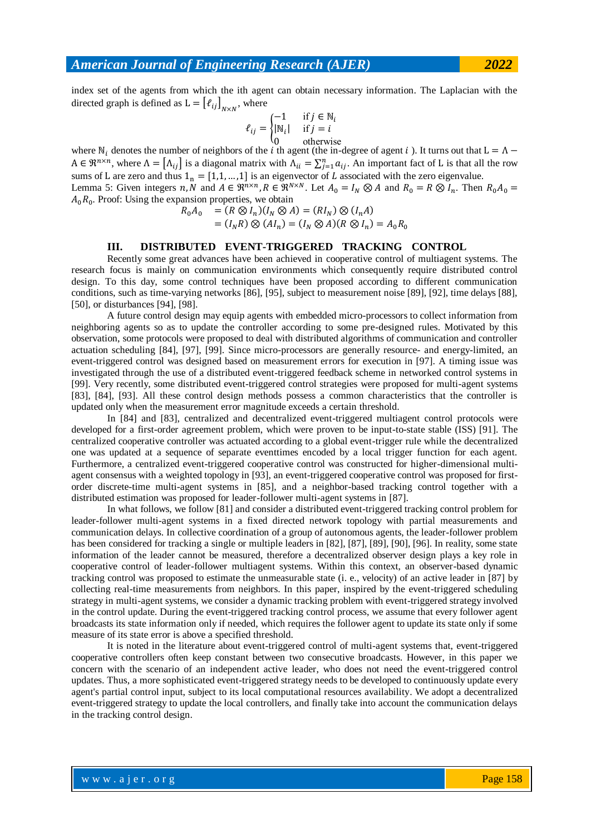index set of the agents from which the ith agent can obtain necessary information. The Laplacian with the directed graph is defined as  $L = [\ell_{ij}]_{N \times N}$ , where

$$
\ell_{ij} = \begin{cases}\n-1 & \text{if } j \in \mathbb{N}_i \\
|\mathbb{N}_i| & \text{if } j = i \\
0 & \text{otherwise}\n\end{cases}
$$

where  $N_i$  denotes the number of neighbors of the i th agent (the in-degree of agent i). It turns out that  $A \in \mathbb{R}^{n \times n}$ , where  $\Lambda = [\Lambda_{ii}]$  is a diagonal matrix with  $\Lambda_{ii} = \sum_{i=1}^n a_{ii}$ . An important fact of L is that all the row sums of L are zero and thus  $1_n = [1, 1, ..., 1]$  is an eigenvector of L associated with the zero eigenvalue. Lemma 5: Given integers n, N and  $A \in \mathbb{R}^{n \times n}$ ,  $R \in \mathbb{R}^{N \times N}$ . Let  $A_0 = I_N \otimes A$  and  $R_0 = R \otimes I_n$ . Then

$$
A_0R_0
$$
. Proof: Using the expansion properties, we obtain  
\n
$$
R_0A_0 = (R \otimes I_n)(I_N \otimes A) = (RI_N) \otimes (I_nA)
$$
\n
$$
= (I_NR) \otimes (AI_n) = (I_N \otimes A)(R \otimes I_n) = A_0R_0
$$

#### **III. DISTRIBUTED EVENT-TRIGGERED TRACKING CONTROL**

Recently some great advances have been achieved in cooperative control of multiagent systems. The research focus is mainly on communication environments which consequently require distributed control design. To this day, some control techniques have been proposed according to different communication conditions, such as time-varying networks [86], [95], subject to measurement noise [89], [92], time delays [88], [50], or disturbances [94], [98].

A future control design may equip agents with embedded micro-processors to collect information from neighboring agents so as to update the controller according to some pre-designed rules. Motivated by this observation, some protocols were proposed to deal with distributed algorithms of communication and controller actuation scheduling [84], [97], [99]. Since micro-processors are generally resource- and energy-limited, an event-triggered control was designed based on measurement errors for execution in [97]. A timing issue was investigated through the use of a distributed event-triggered feedback scheme in networked control systems in [99]. Very recently, some distributed event-triggered control strategies were proposed for multi-agent systems [83], [84], [93]. All these control design methods possess a common characteristics that the controller is updated only when the measurement error magnitude exceeds a certain threshold.

In [84] and [83], centralized and decentralized event-triggered multiagent control protocols were developed for a first-order agreement problem, which were proven to be input-to-state stable (ISS) [91]. The centralized cooperative controller was actuated according to a global event-trigger rule while the decentralized one was updated at a sequence of separate eventtimes encoded by a local trigger function for each agent. Furthermore, a centralized event-triggered cooperative control was constructed for higher-dimensional multiagent consensus with a weighted topology in [93], an event-triggered cooperative control was proposed for firstorder discrete-time multi-agent systems in [85], and a neighbor-based tracking control together with a distributed estimation was proposed for leader-follower multi-agent systems in [87].

In what follows, we follow [81] and consider a distributed event-triggered tracking control problem for leader-follower multi-agent systems in a fixed directed network topology with partial measurements and communication delays. In collective coordination of a group of autonomous agents, the leader-follower problem has been considered for tracking a single or multiple leaders in [82], [87], [89], [90], [96]. In reality, some state information of the leader cannot be measured, therefore a decentralized observer design plays a key role in cooperative control of leader-follower multiagent systems. Within this context, an observer-based dynamic tracking control was proposed to estimate the unmeasurable state (i. e., velocity) of an active leader in [87] by collecting real-time measurements from neighbors. In this paper, inspired by the event-triggered scheduling strategy in multi-agent systems, we consider a dynamic tracking problem with event-triggered strategy involved in the control update. During the event-triggered tracking control process, we assume that every follower agent broadcasts its state information only if needed, which requires the follower agent to update its state only if some measure of its state error is above a specified threshold.

It is noted in the literature about event-triggered control of multi-agent systems that, event-triggered cooperative controllers often keep constant between two consecutive broadcasts. However, in this paper we concern with the scenario of an independent active leader, who does not need the event-triggered control updates. Thus, a more sophisticated event-triggered strategy needs to be developed to continuously update every agent's partial control input, subject to its local computational resources availability. We adopt a decentralized event-triggered strategy to update the local controllers, and finally take into account the communication delays in the tracking control design.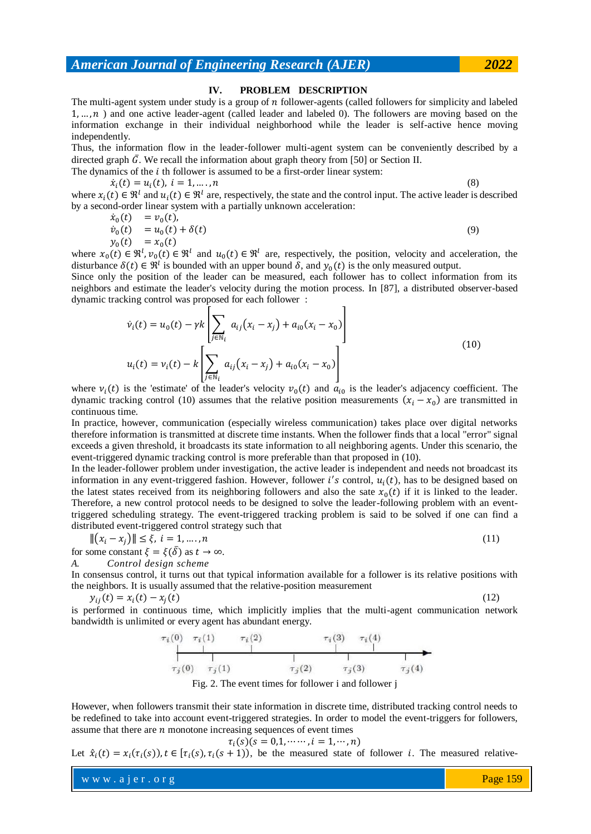#### **IV. PROBLEM DESCRIPTION**

The multi-agent system under study is a group of  $n$  follower-agents (called followers for simplicity and labeled  $1, \ldots, n$ ) and one active leader-agent (called leader and labeled 0). The followers are moving based on the information exchange in their individual neighborhood while the leader is self-active hence moving independently.

Thus, the information flow in the leader-follower multi-agent system can be conveniently described by a directed graph  $\bar{G}$ . We recall the information about graph theory from [50] or Section II.

The dynamics of the  $i$  th follower is assumed to be a first-order linear system:

$$
\dot{x}_i(t) = u_i(t), \quad i = 1, \dots, n
$$
\nwhere  $x_i(t) \in \mathbb{R}^l$  and  $u_i(t) \in \mathbb{R}^l$  are, respectively, the state and the control input. The active leader is described

by a second-order linear system with a partially unknown acceleration:

$$
\dot{x}_0(t) = v_0(t), \n\dot{v}_0(t) = u_0(t) + \delta(t)
$$
\n(9)

$$
y_0(t) = x_0(t)
$$

where  $x_0(t) \in \mathbb{R}^l$ ,  $v_0(t) \in \mathbb{R}^l$  and  $u_0(t) \in \mathbb{R}^l$  are, respectively, the position, velocity and acceleration, the disturbance  $\delta(t) \in \mathbb{R}^l$  is bounded with an upper bound  $\delta$ , and  $y_0(t)$  is the only measured output.

Since only the position of the leader can be measured, each follower has to collect information from its neighbors and estimate the leader's velocity during the motion process. In [87], a distributed observer-based dynamic tracking control was proposed for each follower :  $\mathbf{I}$ 

$$
\dot{v}_i(t) = u_0(t) - \gamma k \left[ \sum_{j \in \mathbb{N}_i} a_{ij} (x_i - x_j) + a_{i0} (x_i - x_0) \right]
$$
  

$$
u_i(t) = v_i(t) - k \left[ \sum_{j \in \mathbb{N}_i} a_{ij} (x_i - x_j) + a_{i0} (x_i - x_0) \right]
$$
 (10)

where  $v_i(t)$  is the 'estimate' of the leader's velocity  $v_0(t)$  and  $a_{i0}$  is the leader's adjacency coefficient. The dynamic tracking control (10) assumes that the relative position measurements  $(x_i - x_0)$  are transmitted in continuous time.

In practice, however, communication (especially wireless communication) takes place over digital networks therefore information is transmitted at discrete time instants. When the follower finds that a local "error" signal exceeds a given threshold, it broadcasts its state information to all neighboring agents. Under this scenario, the event-triggered dynamic tracking control is more preferable than that proposed in (10).

In the leader-follower problem under investigation, the active leader is independent and needs not broadcast its information in any event-triggered fashion. However, follower i's control,  $u_i(t)$ , has to be designed based on the latest states received from its neighboring followers and also the sate  $x_0(t)$  if it is linked to the leader. Therefore, a new control protocol needs to be designed to solve the leader-following problem with an eventtriggered scheduling strategy. The event-triggered tracking problem is said to be solved if one can find a distributed event-triggered control strategy such that

$$
\| (x_i - x_j) \| \le \xi, \ i = 1, \dots, n
$$
\n
$$
\text{for some constant } \xi = \xi(\bar{\delta}) \text{ as } t \to \infty.
$$
\n
$$
(11)
$$

*A. Control design scheme*

In consensus control, it turns out that typical information available for a follower is its relative positions with the neighbors. It is usually assumed that the relative-position measurement

$$
y_{ij}(t) = x_i(t) - x_j(t) \tag{12}
$$

is performed in continuous time, which implicitly implies that the multi-agent communication network bandwidth is unlimited or every agent has abundant energy.



Fig. 2. The event times for follower i and follower j

However, when followers transmit their state information in discrete time, distributed tracking control needs to be redefined to take into account event-triggered strategies. In order to model the event-triggers for followers, assume that there are  $n$  monotone increasing sequences of event times

$$
\tau_i(s)(s=0,1,\cdots,i=1,\cdots,n)
$$

Let  $\hat{x}_i(t) = x_i(\tau_i(s)), t \in [\tau_i(s), \tau_i(s+1)),$  be the measured state of follower *i*. The measured relative-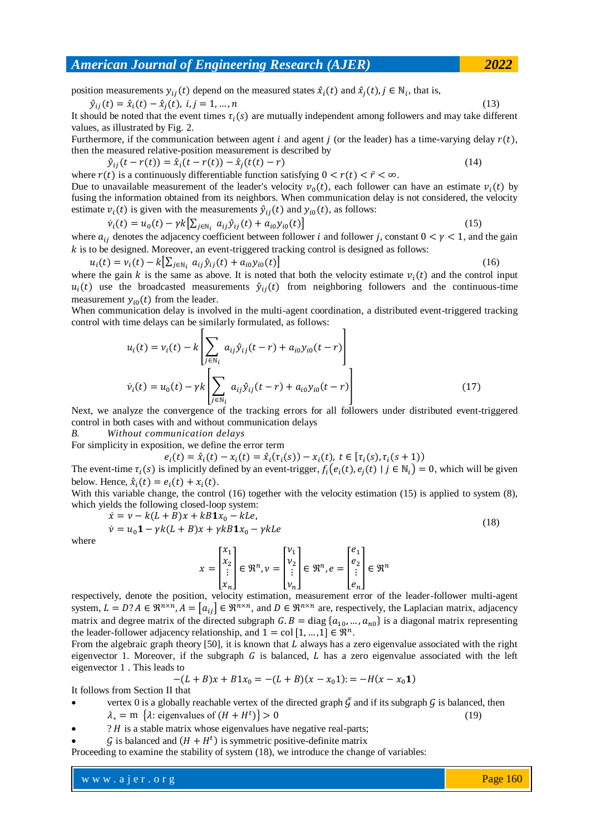position measurements  $y_{ij}(t)$  depend on the measured states  $\hat{x}_i(t)$  and  $\hat{x}_j(t)$ ,  $j \in \mathbb{N}_i$ , that is,

 $\hat{y}_{ij}(t) = \hat{x}_i(t) - \hat{x}_j(t), i, j = 1, ..., n$ (13)

It should be noted that the event times  $\tau_i(s)$  are mutually independent among followers and may take different values, as illustrated by Fig. 2.

Furthermore, if the communication between agent i and agent i (or the leader) has a time-varying delay  $r(t)$ , then the measured relative-position measurement is described by

 $\hat{y}_{ij}(t-r(t)) = \hat{x}_i(t-r(t)) - \hat{x}_j(t(t)-r)$  (14) where  $r(t)$  is a continuously differentiable function satisfying  $0 < r(t) < \bar{r} < \infty$ . Due to unavailable measurement of the leader's velocity  $v_0(t)$ , each follower can have an estimate  $v_i(t)$  by

fusing the information obtained from its neighbors. When communication delay is not considered, the velocity estimate  $v_i(t)$  is given with the measurements  $\hat{y}_{ij}(t)$  and  $y_{i0}(t)$ , as follows:

$$
\dot{v}_i(t) = u_0(t) - \gamma k \left[ \sum_{j \in \mathbb{N}_i} a_{ij} \hat{v}_{ij}(t) + a_{i0} y_{i0}(t) \right]
$$
\n(15)

where  $a_{ij}$  denotes the adjacency coefficient between follower *i* and follower *j*, constant  $0 < \gamma < 1$ , and the gain k is to be designed. Moreover, an event-triggered tracking control is designed as follows:

$$
u_i(t) = v_i(t) - k[\sum_{j \in \mathbb{N}_i} a_{ij} \hat{y}_{ij}(t) + a_{i0} y_{i0}(t)]
$$
\nwhere the gain *k* is the same as above. It is noted that both the velocity estimate  $v_i(t)$  and the control input  $u_i(t)$  use the broadcast measurements  $\hat{y}_{ij}(t)$  from neighboring follows and the continuous-time

measurement  $y_{i0}(t)$  from the leader. When communication delay is involved in the multi-agent coordination, a distributed event-triggered tracking control with time delays can be similarly formulated, as follows:

$$
u_i(t) = v_i(t) - k \left[ \sum_{j \in \mathbb{N}_i} a_{ij} \hat{y}_{ij}(t-r) + a_{i0} y_{i0}(t-r) \right]
$$
  

$$
\dot{v}_i(t) = u_0(t) - \gamma k \left[ \sum_{j \in \mathbb{N}_i} a_{ij} \hat{y}_{ij}(t-r) + a_{i0} y_{i0}(t-r) \right]
$$
 (17)

Next, we analyze the convergence of the tracking errors for all followers under distributed event-triggered control in both cases with and without communication delays

*B. Without communication delays*

For simplicity in exposition, we define the error term

 $e_i(t) = \hat{x}_i(t) - x_i(t) = \hat{x}_i(\tau_i(s)) - x_i(t), t \in [\tau_i(s), \tau_i(s)]$ 

The event-time  $\tau_i(s)$  is implicitly defined by an event-trigger,  $f_i(e_i(t), e_i(t) | j \in N_i) = 0$ , which will be given below. Hence,  $\hat{x}_i(t) = e_i(t) + x_i(t)$ .

With this variable change, the control (16) together with the velocity estimation (15) is applied to system (8), which yields the following closed-loop system:

$$
\dot{x} = v - k(L + B)x + kB1x_0 - kLe
$$

$$
\dot{\nu} = u_0 \mathbf{1} - \gamma k (L + B) x + \gamma k B \mathbf{1} x_0 - \gamma k L e
$$
\n
$$
\begin{bmatrix} x_1 \\ y_2 \end{bmatrix} \qquad \qquad \begin{bmatrix} v_1 \\ v_2 \end{bmatrix} \qquad \qquad \begin{bmatrix} e_1 \\ e_2 \end{bmatrix}
$$
\n(18)

where

$$
x = \begin{bmatrix} x_1 \\ x_2 \\ \vdots \\ x_n \end{bmatrix} \in \mathfrak{R}^n, \nu = \begin{bmatrix} \nu_1 \\ \nu_2 \\ \vdots \\ \nu_n \end{bmatrix} \in \mathfrak{R}^n, e = \begin{bmatrix} e_1 \\ e_2 \\ \vdots \\ e_n \end{bmatrix} \in \mathfrak{R}^n
$$

respectively, denote the position, velocity estimation, measurement error of the leader-follower multi-agent system,  $L = D$ ?  $A \in \mathbb{R}^{n \times n}$ ,  $A = |a_{ij}| \in \mathbb{R}^{n \times n}$ , and  $D \in \mathbb{R}^{n \times n}$  are, respectively, the Laplacian matrix, adjacency matrix and degree matrix of the directed subgraph  $G.B = diag\{a_{10},..., a_{n0}\}$  is a diagonal matrix representing the leader-follower adjacency relationship, and  $1 = \text{col } [1, ..., 1] \in \mathbb{R}^n$ .

From the algebraic graph theory [50], it is known that  $L$  always has a zero eigenvalue associated with the right eigenvector 1. Moreover, if the subgraph  $G$  is balanced, L has a zero eigenvalue associated with the left eigenvector 1 . This leads to

$$
-(L+B)x + B1x_0 = -(L+B)(x - x_0 1) := -H(x - x_0 1)
$$

It follows from Section II that

- vertex 0 is a globally reachable vertex of the directed graph  $\bar{G}$  and if its subgraph  $\bar{G}$  is balanced, then  $\lambda_* = m \{ \lambda :$  eigenvalues of  $(H + H^t) \} > 0$  (19)
- $? H$  is a stable matrix whose eigenvalues have negative real-parts;
- $\mathcal G$  is balanced and  $(H + H^t)$  is symmetric positive-definite matrix

Proceeding to examine the stability of system (18), we introduce the change of variables: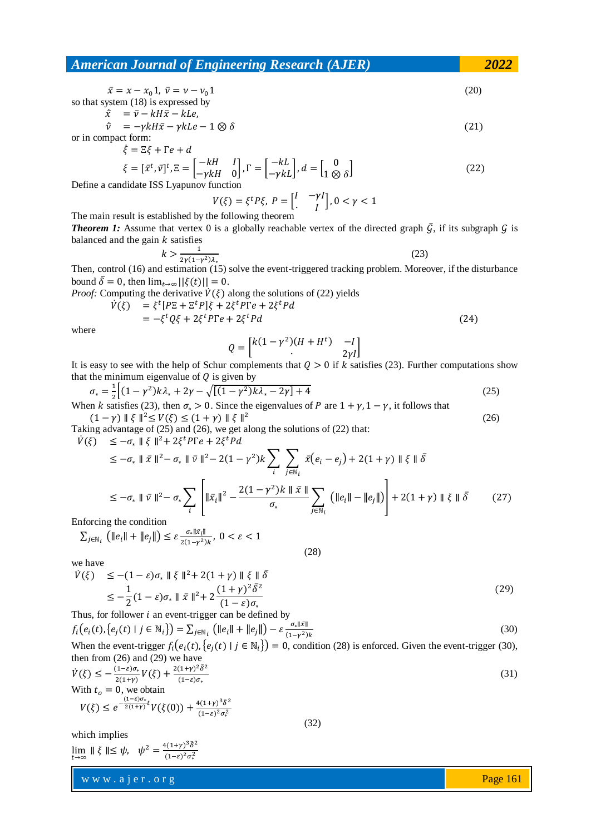$$
\bar{x} = x - x_0 \mathbf{1}, \ \bar{v} = v - v_0 \mathbf{1}
$$
\nso that system (18) is expressed by\n
$$
\dot{\bar{x}} = \bar{x} - kH\bar{u} + kI\bar{v}
$$
\n(20)

$$
\begin{aligned}\n\dot{\bar{x}} &= \bar{v} - kH\bar{x} - kLe, \\
\dot{\bar{v}} &= -\gamma kH\bar{x} - \gamma kLe - 1 \otimes \delta\n\end{aligned} \tag{21}
$$

or in compact form:<br> $\dot{\epsilon} = \bar{\epsilon} \epsilon + \bar{\epsilon} \epsilon + d$ غ

$$
\xi = \xi \xi + I e + a
$$
  
\n
$$
\xi = [\bar{x}^t, \bar{v}]^t, \Xi = \begin{bmatrix} -kH & I \\ -\gamma kH & 0 \end{bmatrix}, \Gamma = \begin{bmatrix} -kL \\ -\gamma kL \end{bmatrix}, d = \begin{bmatrix} 0 \\ 1 \otimes \delta \end{bmatrix}
$$
 (22)

Define a candidate ISS Lyapunov function

$$
V(\xi) = \xi^t P \xi, \ P = \begin{bmatrix} I & -\gamma I \\ I & I \end{bmatrix}, 0 < \gamma < 1
$$

The main result is established by the following theorem

**Theorem 1:** Assume that vertex 0 is a globally reachable vertex of the directed graph  $\bar{G}$ , if its subgraph  $\bar{G}$  is balanced and the gain  $k$  satisfies

$$
k > \frac{1}{2\gamma(1-\gamma^2)\lambda_*} \tag{23}
$$

Then, control (16) and estimation (15) solve the event-triggered tracking problem. Moreover, if the disturbance bound  $\bar{\delta} = 0$ , then  $\lim_{t \to \infty} ||\xi(t)|| = 0$ . *Proof:* Computing the derivative  $\dot{V}(\xi)$  along the solutions of (22) yield

omputing the derivative 
$$
V(\xi)
$$
 along the solutions of (22) yields  
\n
$$
\dot{V}(\xi) = \xi^t [P\Xi + \Xi^t P] \xi + 2\xi^t P F e + 2\xi^t P d
$$
\n
$$
= -\xi^t Q \xi + 2\xi^t P F e + 2\xi^t P d \tag{24}
$$

where

$$
Q = \begin{bmatrix} k(1 - \gamma^2)(H + H^t) & -I \\ 0 & 2\gamma I \end{bmatrix}
$$

It is easy to see with the help of Schur complements that  $\overline{Q} > 0$  if k satisfies (23). Further computations show that the minimum eigenvalue of  $Q$  is given by

$$
\sigma_* = \frac{1}{2} \Big[ (1 - \gamma^2) k \lambda_* + 2\gamma - \sqrt{[(1 - \gamma^2) k \lambda_* - 2\gamma] + 4} \Big] \tag{25}
$$

When k satisfies (23), then  $\sigma_* > 0$ . Since the eigenvalues of P are  $1 + \gamma$ ,  $1 - \gamma$ , it follows that  $(1 - \gamma)$   $\|\xi\|^2 \le V(\xi) \le (1 + \gamma)$   $\|\xi\|^2$ 

Taking advantage of (25) and (26), we get along the solutions of (22) that:  $\dot{V}(\xi) \leq -\sigma_* \parallel \xi \parallel^2 + 2\xi^t P \Gamma e + 2\xi^t$ 

$$
\leq -\sigma_* \| \bar{x} \|^2 - \sigma_* \| \bar{v} \|^2 - 2(1 - \gamma^2) k \sum_i \sum_{j \in \mathbb{N}_i} \bar{x}(e_i - e_j) + 2(1 + \gamma) \| \bar{x} \| \bar{\delta}
$$
  
\n
$$
\leq -\sigma_* \| \bar{v} \|^2 - \sigma_* \sum_i \left[ \| \bar{x}_i \|^2 - \frac{2(1 - \gamma^2)k \| \bar{x} \|}{\sigma_*} \sum_{j \in \mathbb{N}_i} \left( \| e_i \| - \| e_j \| \right) \right] + 2(1 + \gamma) \| \bar{x} \| \bar{\delta}
$$
 (27)

(28)

Enforcing the condition

$$
\sum_{j \in \mathbb{N}_i} \left( \|e_i\| + \|e_j\| \right) \le \varepsilon \frac{\sigma_* \| \bar{x}_i \|}{2(1 - \gamma^2)k}, \ 0 < \varepsilon < 1
$$

we have

$$
\dot{V}(\xi) \le -(1 - \varepsilon)\sigma_* \parallel \xi \parallel^2 + 2(1 + \gamma) \parallel \xi \parallel \bar{\delta}
$$
\n
$$
\le -\frac{1}{2}(1 - \varepsilon)\sigma_* \parallel \bar{x} \parallel^2 + 2\frac{(1 + \gamma)^2 \bar{\delta}^2}{(1 - \varepsilon)\sigma_*}
$$
\n(29)

Thus, for follower  $i$  an event-trigger can be defined by

 $(1-\varepsilon)^2 \sigma_*^2$ 

$$
f_i(e_i(t), \{e_j(t) \mid j \in \mathbb{N}_i\}) = \sum_{j \in \mathbb{N}_i} \left( \|e_i\| + \|e_j\| \right) - \varepsilon \frac{\sigma_* \|\bar{x}\|}{(1 - \gamma^2)\kappa}
$$
(30)

When the event-trigger  $f_i(e_i(t), e_i(t) | i \in \mathbb{N}_i) = 0$ , condition (28) is enforced. Given the event-trigger (30), then from (26) and (29) we have

$$
\dot{V}(\xi) \le -\frac{(1-\varepsilon)\sigma_*}{2(1+\gamma)} V(\xi) + \frac{2(1+\gamma)^2 \bar{\delta}^2}{(1-\varepsilon)\sigma_*} \n\text{With } t_o = 0, \text{ we obtain} \nV(\xi) \le e^{-\frac{(1-\varepsilon)\sigma_*}{2(1+\gamma)}t} V(\xi(0)) + \frac{4(1+\gamma)^3 \bar{\delta}^2}{(1-\gamma)^2}.
$$
\n(31)

(32)

which implies

$$
\lim_{t \to \infty} \|\xi\| \le \psi, \quad \psi^2 = \frac{4(1+\gamma)^3 \bar{\delta}^2}{(1-\varepsilon)^2 \sigma_*^2}
$$

www.ajer.org where  $\mathcal{L} = \mathcal{L} \left( \mathcal{L} \right)$  is the set of  $\mathcal{L} \left( \mathcal{L} \right)$ 

Page 161

(26)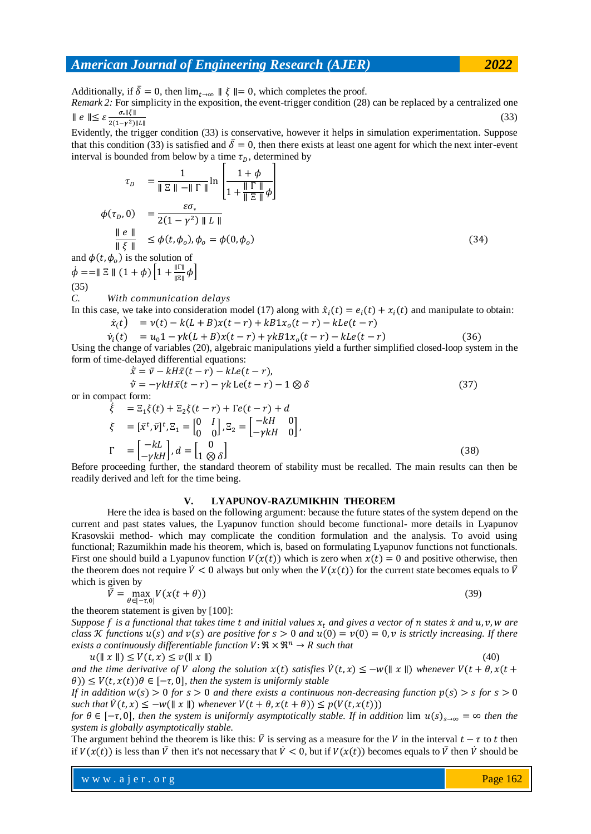Additionally, if  $\bar{\delta} = 0$ , then  $\lim_{t \to \infty} || \xi || = 0$ , which completes the proof.

*Remark 2:* For simplicity in the exposition, the event-trigger condition (28) can be replaced by a centralized one  $\| e \| \leq \varepsilon \frac{6}{2(1-\gamma^2)}$  $\sigma_* \| \xi \|$ (33)

Evidently, the trigger condition (33) is conservative, however it helps in simulation experimentation. Suppose that this condition (33) is satisfied and  $\bar{\delta} = 0$ , then there exists at least one agent for which the next inter-event interval is bounded from below by a time  $\tau_D$ , determined by

$$
\tau_D = \frac{1}{\|\Xi\| - \|\Gamma\|} \ln \left[ \frac{1+\phi}{1 + \frac{\|\Gamma\|}{\|\Xi\|} \phi} \right]
$$
  
\n
$$
\phi(\tau_D, 0) = \frac{\varepsilon \sigma_*}{2(1 - \gamma^2) \|\mathbf{L}\|}
$$
  
\n
$$
\frac{\|\mathbf{e}\|}{\|\xi\|} \leq \phi(t, \phi_o), \phi_o = \phi(0, \phi_o)
$$
  
\nand  $\phi(t, \phi_o)$  is the solution of  
\n
$$
\dot{\phi} = \|\Xi\| (1 + \phi) \left[1 + \frac{\|\Gamma\|}{\|\Xi\|} \phi\right]
$$
\n(34)

(35)

*C. With communication delays*

In this case, we take into consideration model (17) along with  $\hat{x}_i(t) = e_i(t) + x_i(t)$  and manipulate to obtain:  $\dot{x}_i(t) = v(t) - k(L+B)x(t-r) + kB1x_0(t)$ 

$$
\dot{v}_i(t) = u_0 1 - \gamma k (L + B) x (t - r) + \gamma k B 1 x_0 (t - r) - k L e (t - r) \tag{36}
$$

 $V_i(t) = u_0 t - \gamma \kappa (L + B) \chi(t - t) + \gamma \kappa B \chi_0(t - t) - \kappa L \epsilon (L - t)$  (30)<br>Using the change of variables (20), algebraic manipulations yield a further simplified closed-loop system in the form of time-delayed differential equations:

$$
\begin{aligned}\n\dot{\bar{x}} &= \bar{v} - kH\bar{x}(t-r) - kLe(t-r), \\
\dot{v} &= -\gamma kH\bar{x}(t-r) - \gamma k \operatorname{Le}(t-r) - 1 \otimes \delta \\
\dot{\xi} &= \Xi_1 \xi(t) + \Xi_2 \xi(t-r) + \Gamma e(t-r) + d \\
\xi &= [\bar{x}^t, \bar{v}]^t, \Xi_1 = \begin{bmatrix} 0 & I \\ 0 & 0 \end{bmatrix}, \Xi_2 = \begin{bmatrix} -kH & 0 \\ -\gamma kH & 0 \end{bmatrix}, \\
\Gamma &= \begin{bmatrix} -kL \\ -\gamma kH \end{bmatrix}, d = \begin{bmatrix} 0 & 0 \\ 1 & 0 \end{bmatrix}\n\end{aligned}
$$
\n(38)

Before proceeding further, the standard theorem of stability must be recalled. The main results can then be readily derived and left for the time being.

#### **V. LYAPUNOV-RAZUMIKHIN THEOREM**

Here the idea is based on the following argument: because the future states of the system depend on the current and past states values, the Lyapunov function should become functional- more details in Lyapunov Krasovskii method- which may complicate the condition formulation and the analysis. To avoid using functional; Razumikhin made his theorem, which is, based on formulating Lyapunov functions not functionals. First one should build a Lyapunov function  $V(x(t))$  which is zero when  $x(t) = 0$  and positive otherwise, then the theorem does not require  $\dot{V} < 0$  always but only when the  $V(x(t))$  for the current state becomes equals to  $\overline{V}$ which is given by

$$
\bar{V} = \max_{\theta \in [-\tau, 0]} V(x(t + \theta))
$$
\n(39)

the theorem statement is given by [100]:

*Suppose f is a functional that takes time t and initial values*  $x_t$  *and gives a vector of n states x and*  $u, v, w$  are *class K* functions  $u(s)$  and  $v(s)$  are positive for  $s > 0$  and  $u(0) = v(0) = 0$ , v is strictly increasing. If there *exists a continuously differentiable function*  $V: \mathbb{R} \times \mathbb{R}^n \to R$  *such that* 

 $u(\parallel x \parallel) \le V(t, x) \le v(\parallel x \parallel)$  (40)

*and the time derivative of V along the solution*  $x(t)$  *satisfies*  $\dot{V}(t, x) \leq -w(\Vert x \Vert)$  *whenever*  $V(t + \theta, x(t +$  $\theta$ ))  $\leq V(t, x(t))\theta \in [-\tau, 0]$ , then the system is uniformly stable

*If in addition*  $w(s) > 0$  *for s* > 0 *and there exists a continuous non-decreasing function*  $p(s) > s$  *for s* > 0 *such that*  $\dot{V}(t, x) \leq -w(||x||)$  *whenever*  $V(t + \theta, x(t + \theta)) \leq p(V(t, x(t)))$ 

*for*  $\theta \in [-\tau, 0]$ , then the system is uniformly asymptotically stable. If in addition  $\lim u(s)_{s\to\infty} = \infty$  then the *system is globally asymptotically stable.*

The argument behind the theorem is like this:  $\bar{V}$  is serving as a measure for the V in the interval  $t-\tau$  to t then if  $V(x(t))$  is less than  $\bar{V}$  then it's not necessary that  $\dot{V} < 0$ , but if  $V(x(t))$  becomes equals to  $\bar{V}$  then  $\dot{V}$  should be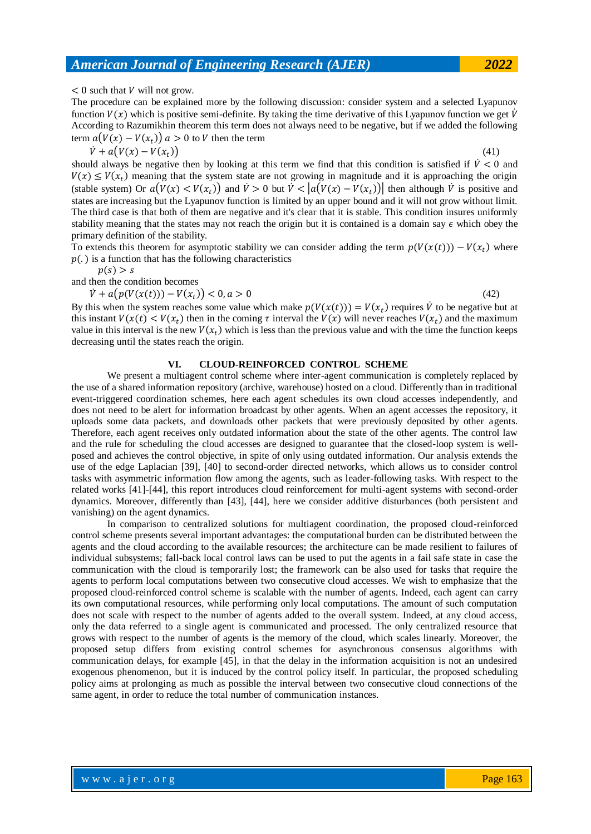$< 0$  such that V will not grow.

The procedure can be explained more by the following discussion: consider system and a selected Lyapunov function  $V(x)$  which is positive semi-definite. By taking the time derivative of this Lyapunov function we get  $\dot{V}$ According to Razumikhin theorem this term does not always need to be negative, but if we added the following term  $a(V(x) - V(x_t))$   $a > 0$  to V then the term

$$
\dot{V} + a(V(x) - V(x_t))
$$

 $\left(41\right)$ 

should always be negative then by looking at this term we find that this condition is satisfied if  $\dot{V} < 0$  and  $V(x) \le V(x_t)$  meaning that the system state are not growing in magnitude and it is approaching the origin (stable system) Or  $a(V(x) < V(x_t))$  and  $\dot{V} > 0$  but  $\dot{V} < |a(V(x) - V(x_t))|$  then although  $\dot{V}$  is positive and states are increasing but the Lyapunov function is limited by an upper bound and it will not grow without limit. The third case is that both of them are negative and it's clear that it is stable. This condition insures uniformly stability meaning that the states may not reach the origin but it is contained is a domain say  $\epsilon$  which obey the primary definition of the stability.

To extends this theorem for asymptotic stability we can consider adding the term  $p(V(x(t))) - V(x_t)$  where  $p(.)$  is a function that has the following characteristics

 $p(s) > s$ 

and then the condition becomes

$$
\dot{V} + a\big(p(V(x(t))) - V(x_t)\big) < 0, a > 0\tag{42}
$$

By this when the system reaches some value which make  $p(V(x(t))) = V(x_t)$  requires  $\dot{V}$  to be negative but at this instant  $V(x(t) < V(x_t))$  then in the coming  $\tau$  interval the  $V(x)$  will never reaches  $V(x_t)$  and the maximum value in this interval is the new  $V(x_t)$  which is less than the previous value and with the time the function keeps decreasing until the states reach the origin.

#### **VI. CLOUD-REINFORCED CONTROL SCHEME**

We present a multiagent control scheme where inter-agent communication is completely replaced by the use of a shared information repository (archive, warehouse) hosted on a cloud. Differently than in traditional event-triggered coordination schemes, here each agent schedules its own cloud accesses independently, and does not need to be alert for information broadcast by other agents. When an agent accesses the repository, it uploads some data packets, and downloads other packets that were previously deposited by other agents. Therefore, each agent receives only outdated information about the state of the other agents. The control law and the rule for scheduling the cloud accesses are designed to guarantee that the closed-loop system is wellposed and achieves the control objective, in spite of only using outdated information. Our analysis extends the use of the edge Laplacian [39], [40] to second-order directed networks, which allows us to consider control tasks with asymmetric information flow among the agents, such as leader-following tasks. With respect to the related works [41]-[44], this report introduces cloud reinforcement for multi-agent systems with second-order dynamics. Moreover, differently than [43], [44], here we consider additive disturbances (both persistent and vanishing) on the agent dynamics.

In comparison to centralized solutions for multiagent coordination, the proposed cloud-reinforced control scheme presents several important advantages: the computational burden can be distributed between the agents and the cloud according to the available resources; the architecture can be made resilient to failures of individual subsystems; fall-back local control laws can be used to put the agents in a fail safe state in case the communication with the cloud is temporarily lost; the framework can be also used for tasks that require the agents to perform local computations between two consecutive cloud accesses. We wish to emphasize that the proposed cloud-reinforced control scheme is scalable with the number of agents. Indeed, each agent can carry its own computational resources, while performing only local computations. The amount of such computation does not scale with respect to the number of agents added to the overall system. Indeed, at any cloud access, only the data referred to a single agent is communicated and processed. The only centralized resource that grows with respect to the number of agents is the memory of the cloud, which scales linearly. Moreover, the proposed setup differs from existing control schemes for asynchronous consensus algorithms with communication delays, for example [45], in that the delay in the information acquisition is not an undesired exogenous phenomenon, but it is induced by the control policy itself. In particular, the proposed scheduling policy aims at prolonging as much as possible the interval between two consecutive cloud connections of the same agent, in order to reduce the total number of communication instances.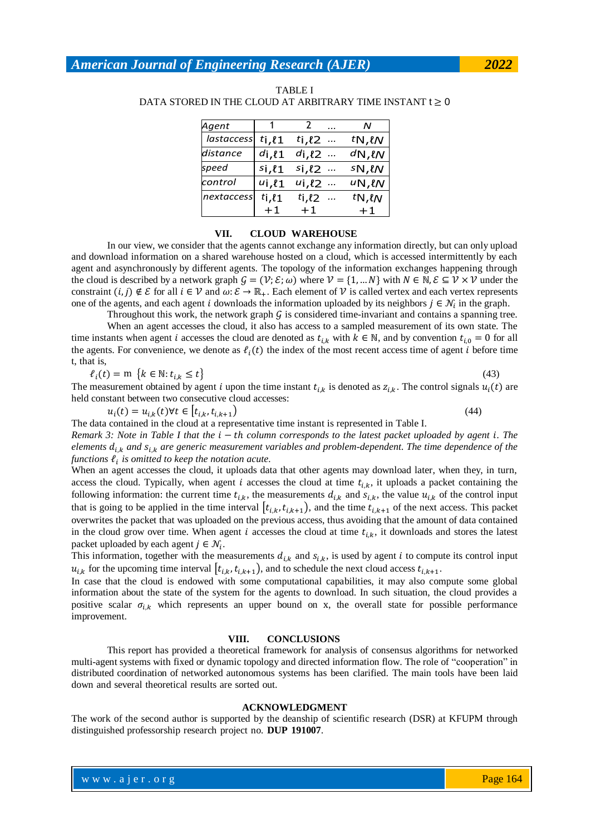| Agent             |                 |                          | N                    |
|-------------------|-----------------|--------------------------|----------------------|
| <i>lastaccess</i> | $ti$ , $\ell$ 1 | ti, $\ell$ 2<br>$\ldots$ | tN, lN               |
| distance          | di, l1          | di, l2                   | dN, lN               |
| speed             | $si, \ell$ 1    | si, l2<br>$\ldots$       | $SN, \ell N$         |
| control           | ui.l1           | ui, l2<br>$\cdots$       | $U\mathsf{N},\ell N$ |
| nextaccess        | ti, l1          | ti, $\ell$ 2             | tN, lN               |
|                   | $+1$            | $+1$                     | $+1$                 |

TABLE I DATA STORED IN THE CLOUD AT ARBITRARY TIME INSTANT  $t \geq 0$ 

#### **VII. CLOUD WAREHOUSE**

In our view, we consider that the agents cannot exchange any information directly, but can only upload and download information on a shared warehouse hosted on a cloud, which is accessed intermittently by each agent and asynchronously by different agents. The topology of the information exchanges happening through the cloud is described by a network graph  $G = (\mathcal{V}; \mathcal{E}; \omega)$  where  $\mathcal{V} = \{1, ..., N\}$  with  $N \in \mathbb{N}, \mathcal{E} \subseteq \mathcal{V} \times \mathcal{V}$  under the constraint  $(i, j) \notin \mathcal{E}$  for all  $i \in \mathcal{V}$  and  $\omega \colon \mathcal{E} \to \mathbb{R}_+$ . Each element of  $\mathcal{V}$  is called vertex and each vertex represents one of the agents, and each agent i downloads the information uploaded by its neighbors  $j \in \mathcal{N}_i$  in the graph.

Throughout this work, the network graph  $\zeta$  is considered time-invariant and contains a spanning tree.

When an agent accesses the cloud, it also has access to a sampled measurement of its own state. The time instants when agent *i* accesses the cloud are denoted as  $t_{i,k}$  with  $k \in \mathbb{N}$ , and by convention  $t_{i,0} = 0$  for all the agents. For convenience, we denote as  $\ell_i(t)$  the index of the most recent access time of agent i before time t, that is,

$$
\ell_i(t) = \mathbf{m} \{ k \in \mathbb{N} : t_{i,k} \le t \}
$$
\n
$$
(43)
$$

The measurement obtained by agent i upon the time instant  $t_{ik}$  is denoted as  $z_{ik}$ . The control signals  $u_i(t)$  are held constant between two consecutive cloud accesses:

 $u_i(t) = u_{i,k}(t) \forall t \in [t_{i,k},$ 

 $(44)$ 

*Remark 3: Note in Table I that the*  $i - th$  *column corresponds to the latest packet uploaded by agent i. The elements*  $d_{i,k}$  and  $s_{i,k}$  are generic measurement variables and problem-dependent. The time dependence of the functions  $l_i$  is omitted to keep the notation acute.

The data contained in the cloud at a representative time instant is represented in Table I.

When an agent accesses the cloud, it uploads data that other agents may download later, when they, in turn, access the cloud. Typically, when agent i accesses the cloud at time  $t_{i,k}$ , it uploads a packet containing the following information: the current time  $t_{i,k}$ , the measurements  $d_{i,k}$  and  $s_{i,k}$ , the value  $u_{i,k}$  of the control input that is going to be applied in the time interval  $\left| t_{i,k}, t_{i,k+1} \right|$ , and the time  $t_{i,k+1}$  of the next access. This packet overwrites the packet that was uploaded on the previous access, thus avoiding that the amount of data contained in the cloud grow over time. When agent i accesses the cloud at time  $t_{i,k}$ , it downloads and stores the latest packet uploaded by each agent  $j \in \mathcal{N}_i$ .

This information, together with the measurements  $d_{i,k}$  and  $s_{i,k}$ , is used by agent i to compute its control input  $u_{i,k}$  for the upcoming time interval  $(t_{i,k}, t_{i,k+1})$ , and to schedule the next cloud access  $t_{i,k+1}$ .

In case that the cloud is endowed with some computational capabilities, it may also compute some global information about the state of the system for the agents to download. In such situation, the cloud provides a positive scalar  $\sigma_{i,k}$  which represents an upper bound on x, the overall state for possible performance improvement.

#### **VIII. CONCLUSIONS**

This report has provided a theoretical framework for analysis of consensus algorithms for networked multi-agent systems with fixed or dynamic topology and directed information flow. The role of "cooperation" in distributed coordination of networked autonomous systems has been clarified. The main tools have been laid down and several theoretical results are sorted out.

#### **ACKNOWLEDGMENT**

The work of the second author is supported by the deanship of scientific research (DSR) at KFUPM through distinguished professorship research project no. **DUP 191007**.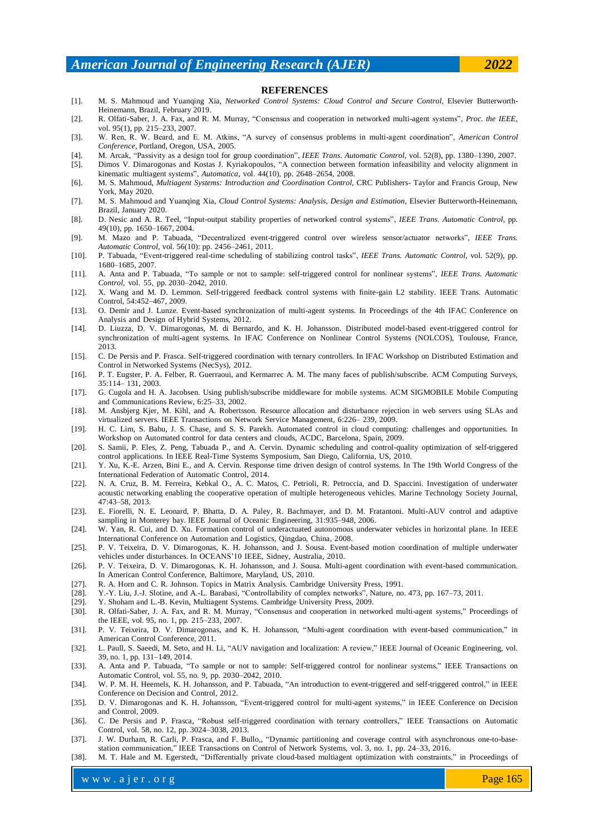#### **REFERENCES**

- [1]. M. S. Mahmoud and Yuanqing Xia, *Networked Control Systems: Cloud Control and Secure Control*, Elsevier Butterworth-Heinemann, Brazil, February 2019.
- [2]. R. Olfati-Saber, J. A. Fax, and R. M. Murray, "Consensus and cooperation in networked multi-agent systems", Proc. the IEEE, vol. 95(1), pp. 215–233, 2007.
- [3]. W. Ren, R. W. Beard, and E. M. Atkins, "A survey of consensus problems in multi-agent coordination", *American Control Conference*, Portland, Oregon, USA, 2005.
- [4]. M. Arcak, "Passivity as a design tool for group coordination", *IEEE Trans. Automatic Control*, vol. 52(8), pp. 1380–1390, 2007.
- [5]. Dimos V. Dimarogonas and Kostas J. Kyriakopoulos, "A connection between formation infeasibility and velocity alignment in kinematic multiagent systems", *Automatica*, vol. 44(10), pp. 2648-2654, 2008.
- [6]. M. S. Mahmoud, *Multiagent Systems: Introduction and Coordination Control*, CRC Publishers- Taylor and Francis Group, New York, May 2020.
- [7]. M. S. Mahmoud and Yuanqing Xia, *Cloud Control Systems: Analysis, Design and Estimation*, Elsevier Butterworth-Heinemann, Brazil, January 2020.
- [8]. D. Nesic and A. R. Teel, "Input-output stability properties of networked control systems", IEEE Trans. Automatic Control, pp. 49(10), pp. 1650–1667, 2004.
- [9]. M. Mazo and P. Tabuada, "Decentralized event-triggered control over wireless sensor/actuator networks", IEEE Trans. *Automatic Control*, vol. 56(10): pp. 2456–2461, 2011.
- [10]. P. Tabuada, "Event-triggered real-time scheduling of stabilizing control tasks", IEEE Trans. Automatic Control, vol. 52(9), pp. 1680–1685, 2007.
- [11]. A. Anta and P. Tabuada, "To sample or not to sample: self-triggered control for nonlinear systems", *IEEE Trans. Automatic Control*, vol. 55, pp. 2030–2042, 2010.
- [12]. X. Wang and M. D. Lemmon. Self-triggered feedback control systems with finite-gain L2 stability. IEEE Trans. Automatic Control, 54:452–467, 2009.
- [13]. O. Demir and J. Lunze. Event-based synchronization of multi-agent systems. In Proceedings of the 4th IFAC Conference on Analysis and Design of Hybrid Systems, 2012.
- [14]. D. Liuzza, D. V. Dimarogonas, M. di Bernardo, and K. H. Johansson. Distributed model-based event-triggered control for synchronization of multi-agent systems. In IFAC Conference on Nonlinear Control Systems (NOLCOS), Toulouse, France, 2013.
- [15]. C. De Persis and P. Frasca. Self-triggered coordination with ternary controllers. In IFAC Workshop on Distributed Estimation and Control in Networked Systems (NecSys), 2012.
- [16]. P. T. Eugster, P. A. Felber, R. Guerraoui, and Kermarrec A. M. The many faces of publish/subscribe. ACM Computing Surveys, 35:114– 131, 2003.
- [17]. G. Cugola and H. A. Jacobsen. Using publish/subscribe middleware for mobile systems. ACM SIGMOBILE Mobile Computing and Communications Review, 6:25–33, 2002.
- [18]. M. Ansbjerg Kjer, M. Kihl, and A. Robertsson. Resource allocation and disturbance rejection in web servers using SLAs and virtualized servers. IEEE Transactions on Network Service Management, 6:226– 239, 2009.
- [19]. H. C. Lim, S. Babu, J. S. Chase, and S. S. Parekh. Automated control in cloud computing: challenges and opportunities. In Workshop on Automated control for data centers and clouds, ACDC, Barcelona, Spain, 2009.
- [20]. S. Samii, P. Eles, Z. Peng, Tabuada P., and A. Cervin. Dynamic scheduling and control-quality optimization of self-triggered control applications. In IEEE Real-Time Systems Symposium, San Diego, California, US, 2010.
- [21]. Y. Xu, K.-E. Arzen, Bini E., and A. Cervin. Response time driven design of control systems. In The 19th World Congress of the International Federation of Automatic Control, 2014.
- [22]. N. A. Cruz, B. M. Ferreira, Kebkal O., A. C. Matos, C. Petrioli, R. Petroccia, and D. Spaccini. Investigation of underwater acoustic networking enabling the cooperative operation of multiple heterogeneous vehicles. Marine Technology Society Journal, 47:43–58, 2013.
- [23]. E. Fiorelli, N. E. Leonard, P. Bhatta, D. A. Paley, R. Bachmayer, and D. M. Fratantoni. Multi-AUV control and adaptive sampling in Monterey bay. IEEE Journal of Oceanic Engineering, 31:935–948, 2006.
- [24]. W. Yan, R. Cui, and D. Xu. Formation control of underactuated autonomous underwater vehicles in horizontal plane. In IEEE International Conference on Automation and Logistics, Qingdao, China, 2008.
- [25]. P. V. Teixeira, D. V. Dimarogonas, K. H. Johansson, and J. Sousa. Event-based motion coordination of multiple underwater vehicles under disturbances. In OCEANS'10 IEEE, Sidney, Australia, 2010.
- [26]. P. V. Teixeira, D. V. Dimarogonas, K. H. Johansson, and J. Sousa. Multi-agent coordination with event-based communication. In American Control Conference, Baltimore, Maryland, US, 2010.
- [27]. R. A. Horn and C. R. Johnson. Topics in Matrix Analysis. Cambridge University Press, 1991.
- [28]. Y.-Y. Liu, J.-J. Slotine, and A.-L. Barabasi, "Controllability of complex networks", Nature, no. 473, pp. 167–73, 2011.
- [29]. Y. Shoham and L.-B. Kevin, Multiagent Systems. Cambridge University Press, 2009.
- [30]. R. Olfati-Saber, J. A. Fax, and R. M. Murray, "Consensus and cooperation in networked multi-agent systems," Proceedings of the IEEE, vol. 95, no. 1, pp. 215–233, 2007.
- [31]. P. V. Teixeira, D. V. Dimarogonas, and K. H. Johansson, "Multi-agent coordination with event-based communication," in American Control Conference, 2011.
- [32]. L. Paull, S. Saeedi, M. Seto, and H. Li, "AUV navigation and localization: A review," IEEE Journal of Oceanic Engineering, vol. 39, no. 1, pp. 131–149, 2014.
- [33]. A. Anta and P. Tabuada, "To sample or not to sample: Self-triggered control for nonlinear systems," IEEE Transactions on Automatic Control, vol. 55, no. 9, pp. 2030–2042, 2010.
- [34]. W. P. M. H. Heemels, K. H. Johansson, and P. Tabuada, "An introduction to event-triggered and self-triggered control," in IEEE Conference on Decision and Control, 2012.
- [35]. D. V. Dimarogonas and K. H. Johansson, "Event-triggered control for multi-agent systems," in IEEE Conference on Decision and Control, 2009.
- [36]. C. De Persis and P. Frasca, "Robust self-triggered coordination with ternary controllers," IEEE Transactions on Automatic Control, vol. 58, no. 12, pp. 3024–3038, 2013.
- [37]. J. W. Durham, R. Carli, P. Frasca, and F. Bullo,, "Dynamic partitioning and coverage control with asynchronous one-to-basestation communication," IEEE Transactions on Control of Network Systems, vol. 3, no. 1, pp. 24-33, 2016.
- [38]. M. T. Hale and M. Egerstedt, "Differentially private cloud-based multiagent optimization with constraints," in Proceedings of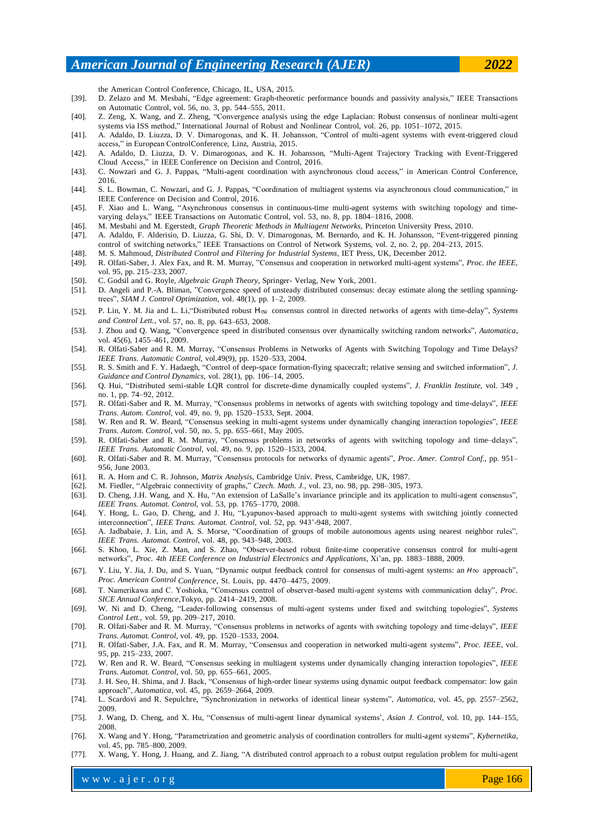the American Control Conference, Chicago, IL, USA, 2015.

- [39]. D. Zelazo and M. Mesbahi, "Edge agreement: Graph-theoretic performance bounds and passivity analysis," IEEE Transactions on Automatic Control, vol. 56, no. 3, pp. 544–555, 2011.
- [40]. Z. Zeng, X. Wang, and Z. Zheng, "Convergence analysis using the edge Laplacian: Robust consensus of nonlinear multi-agent systems via ISS method," International Journal of Robust and Nonlinear Control, vol. 26, pp. 1051-1072, 2015.
- [41]. A. Adaldo, D. Liuzza, D. V. Dimarogonas, and K. H. Johansson, "Control of multi-agent systems with event-triggered cloud access," in European ControlConference, Linz, Austria, 2015.
- [42]. A. Adaldo, D. Liuzza, D. V. Dimarogonas, and K. H. Johansson, "Multi-Agent Trajectory Tracking with Event-Triggered Cloud Access," in IEEE Conference on Decision and Control, 2016.
- [43]. C. Nowzari and G. J. Pappas, "Multi-agent coordination with asynchronous cloud access," in American Control Conference, 2016.
- [44]. S. L. Bowman, C. Nowzari, and G. J. Pappas, "Coordination of multiagent systems via asynchronous cloud communication," in IEEE Conference on Decision and Control, 2016.
- [45]. F. Xiao and L. Wang, "Asynchronous consensus in continuous-time multi-agent systems with switching topology and timevarying delays," IEEE Transactions on Automatic Control, vol. 53, no. 8, pp. 1804–1816, 2008.
- [46]. M. Mesbahi and M. Egerstedt, *Graph Theoretic Methods in Multiagent Networks*, Princeton University Press, 2010.
- [47]. A. Adaldo, F. Alderisio, D. Liuzza, G. Shi, D. V. Dimarogonas, M. Bernardo, and K. H. Johansson, "Event-triggered pinning control of switching networks," IEEE Transactions on Control of Network Systems, vol. 2, no. 2, pp. 204–213, 2015.
- [48]. M. S. Mahmoud, *Distributed Control and Filtering for Industrial Systems*, IET Press, UK, December 2012.
- [49]. R. Olfati-Saber, J. Alex Fax, and R. M. Murray, "Consensus and cooperation in networked multi-agent systems", Proc. the IEEE, vol. 95, pp. 215–233, 2007.
- [50]. C. Godsil and G. Royle, *Algebraic Graph Theory*, Springer- Verlag, New York, 2001.
- [51]. D. Angeli and P.-A. Bliman, "Convergence speed of unsteady distributed consensus: decay estimate along the settling spanningtrees", *SIAM J. Control Optimization*, vol. 48(1), pp. 1-2, 2009.
- [52]. P. Lin, Y. M. Jia and L. Li, "Distributed robust H∞ consensus control in directed networks of agents with time-delay", *Systems and Control Lett.*, vol. 57, no. 8, pp. 643–653, 2008.
- [53]. J. Zhou and Q. Wang, "Convergence speed in distributed consensus over dynamically switching random networks", Automatica, vol. 45(6), 1455–461, 2009.
- [54]. R. Olfati-Saber and R. M. Murray, "Consensus Problems in Networks of Agents with Switching Topology and Time Delays? *IEEE Trans. Automatic Control*, vol.49(9), pp. 1520–533, 2004.
- [55]. R. S. Smith and F. Y. Hadaegh, "Control of deep-space formation-flying spacecraft; relative sensing and switched information", *J. Guidance and Control Dynamics*, vol. 28(1), pp. 106–14, 2005.
- [56]. Q. Hui, "Distributed semi-stable LQR control for discrete-dime dynamically coupled systems", *J. Franklin Institute*, vol. 349, no. 1, pp. 74–92, 2012.
- [57]. R. Olfati-Saber and R. M. Murray, "Consensus problems in networks of agents with switching topology and time-delays", IEEE *Trans. Autom. Control*, vol. 49, no. 9, pp. 1520–1533, Sept. 2004.
- [58]. W. Ren and R. W. Beard, "Consensus seeking in multi-agent systems under dynamically changing interaction topologies", IEEE *Trans. Autom. Control*, vol. 50, no. 5, pp. 655–661, May 2005.
- [59]. R. Olfati-Saber and R. M. Murray, "Consensus problems in networks of agents with switching topology and time-delays", *IEEE Trans. Automatic Control*, vol. 49, no. 9, pp. 1520–1533, 2004.
- [60]. R. Olfati-Saber and R. M. Murray, "Consensus protocols for networks of dynamic agents", Proc. Amer. Control Conf., pp. 951-956, June 2003.
- [61]. R. A. Horn and C. R. Johnson, *Matrix Analysis*, Cambridge Univ. Press, Cambridge, UK, 1987.
- [62]. M. Fiedler, "Algebraic connectivity of graphs," *Czech. Math. J.*, vol. 23, no. 98, pp. 298-305, 1973.
- [63]. D. Cheng, J.H. Wang, and X. Hu, "An extension of LaSalle's invariance principle and its application to multi-agent consensus", *IEEE Trans. Automat. Control*, vol. 53, pp. 1765–1770, 2008.
- [64]. Y. Hong, L. Gao, D. Cheng, and J. Hu, "Lyapunov-based approach to multi-agent systems with switching jointly connected interconnection", IEEE Trans. Automat. Control, vol. 52, pp. 943'-948, 2007.
- [65]. A. Jadbabaie, J. Lin, and A. S. Morse, "Coordination of groups of mobile autonomous agents using nearest neighbor rules", *IEEE Trans. Automat. Control*, vol. 48, pp. 943–948, 2003.
- [66]. S. Khoo, L. Xie, Z. Man, and S. Zhao, "Observer-based robust finite-time cooperative consensus control for multi-agent k ", *Proc. 4th IEEE Conference on Industrial Electronics and Applications*, X ' , pp. 1883–1888, 2009.
- [67]. Y. Liu, Y. Jia, J. Du, and S. Yuan, "Dynamic output feedback control for consensus of multi-agent systems: an *H*∞ approach", *Proc. American Control Conference*, St. Louis, pp. 4470–4475, 2009.
- [68]. T. Namerikawa and C. Yoshioka, "Consensus control of observer-based multi-agent systems with communication delay", Proc. *SICE Annual Conference*,Tokyo, pp. 2414–2419, 2008.
- [69]. W. Ni and D. Cheng, "Leader-following consensus of multi-agent systems under fixed and switching topologies", Systems *Control Lett.*, vol. 59, pp. 209–217, 2010.
- [70]. R. Olfati-Saber and R. M. Murray, "Consensus problems in networks of agents with switching topology and time-delays", IEEE *Trans. Automat. Control*, vol. 49, pp. 1520–1533, 2004.
- [71]. R. Olfati-Saber, J.A. Fax, and R. M. Murray, "Consensus and cooperation in networked multi-agent systems", *Proc. IEEE*, vol. 95, pp. 215–233, 2007.
- [72]. W. Ren and R. W. Beard, "Consensus seeking in multiagent systems under dynamically changing interaction topologies", IEEE *Trans. Automat. Control*, vol. 50, pp. 655–661, 2005.
- [73]. J. H. Seo, H. Shima, and J. Back, "Consensus of high-order linear systems using dynamic output feedback compensator: low gain approach", *Automatica*, vol. 45, pp. 2659-2664, 2009.
- [74]. L. Scardovi and R. Sepulchre, "Synchronization in networks of identical linear systems", Automatica, vol. 45, pp. 2557-2562, 2009.
- [75]. J. Wang, D. Cheng, and X. Hu, "Consensus of multi-agent linear dynamical systems', Asian J. Control, vol. 10, pp. 144–155, 2008.
- [76]. X. Wang and Y. Hong, "Parametrization and geometric analysis of coordination controllers for multi-agent systems", Kybernetika, vol. 45, pp. 785–800, 2009.
- [77]. X. Wang, Y. Hong, J. Huang, and Z. Jiang, "A distributed control approach to a robust output regulation problem for multi-agent